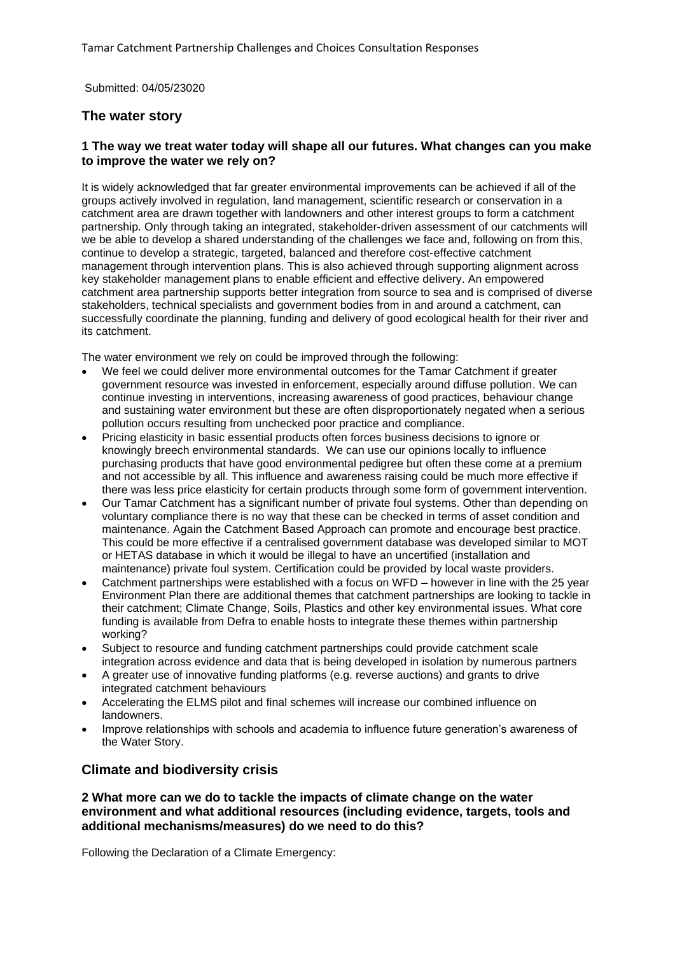Submitted: 04/05/23020

# **The water story**

# **1 The way we treat water today will shape all our futures. What changes can you make to improve the water we rely on?**

It is widely acknowledged that far greater environmental improvements can be achieved if all of the groups actively involved in regulation, land management, scientific research or conservation in a catchment area are drawn together with landowners and other interest groups to form a catchment partnership. Only through taking an integrated, stakeholder‐driven assessment of our catchments will we be able to develop a shared understanding of the challenges we face and, following on from this, continue to develop a strategic, targeted, balanced and therefore cost-effective catchment management through intervention plans. This is also achieved through supporting alignment across key stakeholder management plans to enable efficient and effective delivery. An empowered catchment area partnership supports better integration from source to sea and is comprised of diverse stakeholders, technical specialists and government bodies from in and around a catchment, can successfully coordinate the planning, funding and delivery of good ecological health for their river and its catchment.

The water environment we rely on could be improved through the following:

- We feel we could deliver more environmental outcomes for the Tamar Catchment if greater government resource was invested in enforcement, especially around diffuse pollution. We can continue investing in interventions, increasing awareness of good practices, behaviour change and sustaining water environment but these are often disproportionately negated when a serious pollution occurs resulting from unchecked poor practice and compliance.
- Pricing elasticity in basic essential products often forces business decisions to ignore or knowingly breech environmental standards. We can use our opinions locally to influence purchasing products that have good environmental pedigree but often these come at a premium and not accessible by all. This influence and awareness raising could be much more effective if there was less price elasticity for certain products through some form of government intervention.
- Our Tamar Catchment has a significant number of private foul systems. Other than depending on voluntary compliance there is no way that these can be checked in terms of asset condition and maintenance. Again the Catchment Based Approach can promote and encourage best practice. This could be more effective if a centralised government database was developed similar to MOT or HETAS database in which it would be illegal to have an uncertified (installation and maintenance) private foul system. Certification could be provided by local waste providers.
- Catchment partnerships were established with a focus on WFD however in line with the 25 year Environment Plan there are additional themes that catchment partnerships are looking to tackle in their catchment; Climate Change, Soils, Plastics and other key environmental issues. What core funding is available from Defra to enable hosts to integrate these themes within partnership working?
- Subject to resource and funding catchment partnerships could provide catchment scale integration across evidence and data that is being developed in isolation by numerous partners
- A greater use of innovative funding platforms (e.g. reverse auctions) and grants to drive integrated catchment behaviours
- Accelerating the ELMS pilot and final schemes will increase our combined influence on landowners.
- Improve relationships with schools and academia to influence future generation's awareness of the Water Story.

# **Climate and biodiversity crisis**

### **2 What more can we do to tackle the impacts of climate change on the water environment and what additional resources (including evidence, targets, tools and additional mechanisms/measures) do we need to do this?**

Following the Declaration of a Climate Emergency: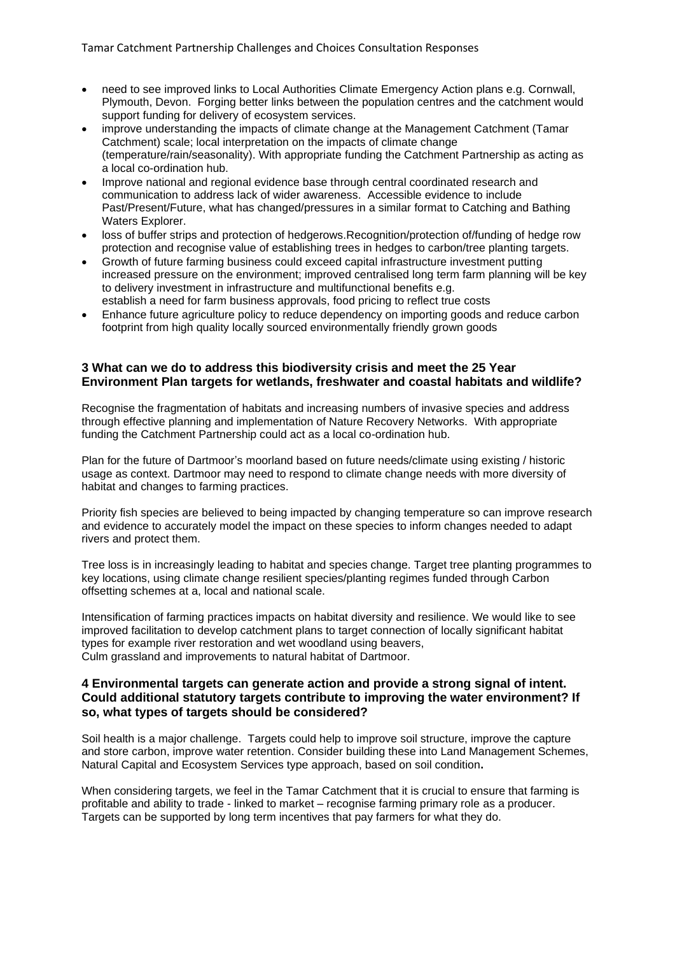- need to see improved links to Local Authorities Climate Emergency Action plans e.g. Cornwall, Plymouth, Devon. Forging better links between the population centres and the catchment would support funding for delivery of ecosystem services.
- improve understanding the impacts of climate change at the Management Catchment (Tamar Catchment) scale; local interpretation on the impacts of climate change (temperature/rain/seasonality). With appropriate funding the Catchment Partnership as acting as a local co-ordination hub.
- Improve national and regional evidence base through central coordinated research and communication to address lack of wider awareness. Accessible evidence to include Past/Present/Future, what has changed/pressures in a similar format to Catching and Bathing Waters Explorer.
- loss of buffer strips and protection of hedgerows. Recognition/protection of/funding of hedge row protection and recognise value of establishing trees in hedges to carbon/tree planting targets.
- Growth of future farming business could exceed capital infrastructure investment putting increased pressure on the environment; improved centralised long term farm planning will be key to delivery investment in infrastructure and multifunctional benefits e.g. establish a need for farm business approvals, food pricing to reflect true costs
- Enhance future agriculture policy to reduce dependency on importing goods and reduce carbon footprint from high quality locally sourced environmentally friendly grown goods

# **3 What can we do to address this biodiversity crisis and meet the 25 Year Environment Plan targets for wetlands, freshwater and coastal habitats and wildlife?**

Recognise the fragmentation of habitats and increasing numbers of invasive species and address through effective planning and implementation of Nature Recovery Networks. With appropriate funding the Catchment Partnership could act as a local co-ordination hub.

Plan for the future of Dartmoor's moorland based on future needs/climate using existing / historic usage as context. Dartmoor may need to respond to climate change needs with more diversity of habitat and changes to farming practices.

Priority fish species are believed to being impacted by changing temperature so can improve research and evidence to accurately model the impact on these species to inform changes needed to adapt rivers and protect them.

Tree loss is in increasingly leading to habitat and species change. Target tree planting programmes to key locations, using climate change resilient species/planting regimes funded through Carbon offsetting schemes at a, local and national scale.

Intensification of farming practices impacts on habitat diversity and resilience. We would like to see improved facilitation to develop catchment plans to target connection of locally significant habitat types for example river restoration and wet woodland using beavers, Culm grassland and improvements to natural habitat of Dartmoor.

#### **4 Environmental targets can generate action and provide a strong signal of intent. Could additional statutory targets contribute to improving the water environment? If so, what types of targets should be considered?**

Soil health is a major challenge. Targets could help to improve soil structure, improve the capture and store carbon, improve water retention. Consider building these into Land Management Schemes, Natural Capital and Ecosystem Services type approach, based on soil condition**.**

When considering targets, we feel in the Tamar Catchment that it is crucial to ensure that farming is profitable and ability to trade - linked to market – recognise farming primary role as a producer. Targets can be supported by long term incentives that pay farmers for what they do.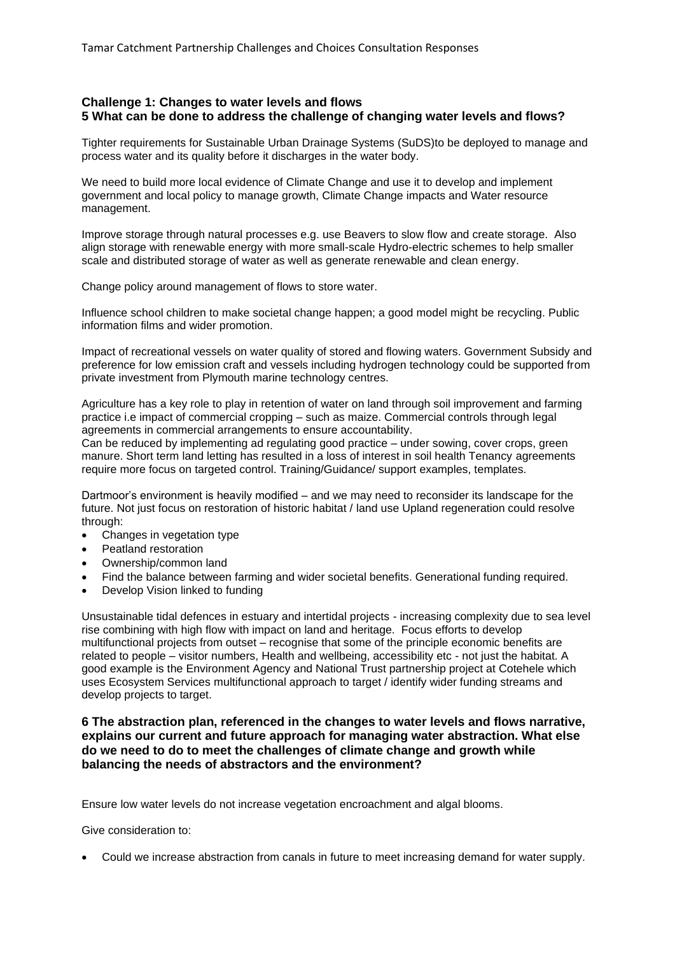# **Challenge 1: Changes to water levels and flows 5 What can be done to address the challenge of changing water levels and flows?**

Tighter requirements for Sustainable Urban Drainage Systems (SuDS)to be deployed to manage and process water and its quality before it discharges in the water body.

We need to build more local evidence of Climate Change and use it to develop and implement government and local policy to manage growth, Climate Change impacts and Water resource management.

Improve storage through natural processes e.g. use Beavers to slow flow and create storage. Also align storage with renewable energy with more small-scale Hydro-electric schemes to help smaller scale and distributed storage of water as well as generate renewable and clean energy.

Change policy around management of flows to store water.

Influence school children to make societal change happen; a good model might be recycling. Public information films and wider promotion.

Impact of recreational vessels on water quality of stored and flowing waters. Government Subsidy and preference for low emission craft and vessels including hydrogen technology could be supported from private investment from Plymouth marine technology centres.

Agriculture has a key role to play in retention of water on land through soil improvement and farming practice i.e impact of commercial cropping – such as maize. Commercial controls through legal agreements in commercial arrangements to ensure accountability.

Can be reduced by implementing ad regulating good practice – under sowing, cover crops, green manure. Short term land letting has resulted in a loss of interest in soil health Tenancy agreements require more focus on targeted control. Training/Guidance/ support examples, templates.

Dartmoor's environment is heavily modified – and we may need to reconsider its landscape for the future. Not just focus on restoration of historic habitat / land use Upland regeneration could resolve through:

- Changes in vegetation type
- Peatland restoration
- Ownership/common land
- Find the balance between farming and wider societal benefits. Generational funding required.
- Develop Vision linked to funding

Unsustainable tidal defences in estuary and intertidal projects - increasing complexity due to sea level rise combining with high flow with impact on land and heritage. Focus efforts to develop multifunctional projects from outset – recognise that some of the principle economic benefits are related to people – visitor numbers, Health and wellbeing, accessibility etc - not just the habitat. A good example is the Environment Agency and National Trust partnership project at Cotehele which uses Ecosystem Services multifunctional approach to target / identify wider funding streams and develop projects to target.

#### **6 The abstraction plan, referenced in the changes to water levels and flows narrative, explains our current and future approach for managing water abstraction. What else do we need to do to meet the challenges of climate change and growth while balancing the needs of abstractors and the environment?**

Ensure low water levels do not increase vegetation encroachment and algal blooms.

Give consideration to:

• Could we increase abstraction from canals in future to meet increasing demand for water supply.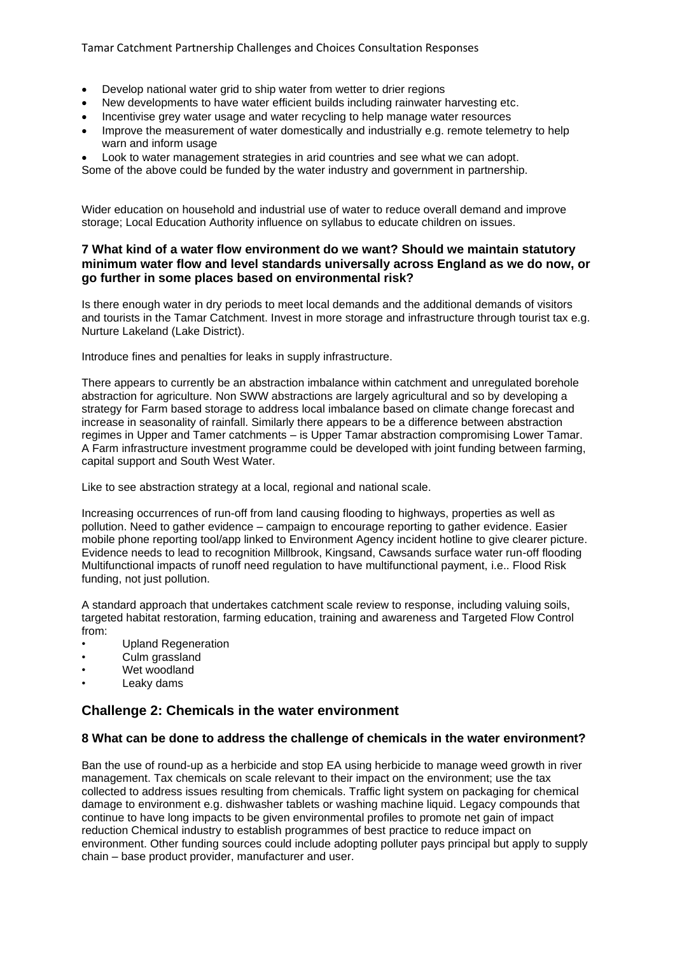- Develop national water grid to ship water from wetter to drier regions
- New developments to have water efficient builds including rainwater harvesting etc.
- Incentivise grey water usage and water recycling to help manage water resources
- Improve the measurement of water domestically and industrially e.g. remote telemetry to help warn and inform usage

• Look to water management strategies in arid countries and see what we can adopt.

Some of the above could be funded by the water industry and government in partnership.

Wider education on household and industrial use of water to reduce overall demand and improve storage; Local Education Authority influence on syllabus to educate children on issues.

# **7 What kind of a water flow environment do we want? Should we maintain statutory minimum water flow and level standards universally across England as we do now, or go further in some places based on environmental risk?**

Is there enough water in dry periods to meet local demands and the additional demands of visitors and tourists in the Tamar Catchment. Invest in more storage and infrastructure through tourist tax e.g. Nurture Lakeland (Lake District).

Introduce fines and penalties for leaks in supply infrastructure.

There appears to currently be an abstraction imbalance within catchment and unregulated borehole abstraction for agriculture. Non SWW abstractions are largely agricultural and so by developing a strategy for Farm based storage to address local imbalance based on climate change forecast and increase in seasonality of rainfall. Similarly there appears to be a difference between abstraction regimes in Upper and Tamer catchments – is Upper Tamar abstraction compromising Lower Tamar. A Farm infrastructure investment programme could be developed with joint funding between farming, capital support and South West Water.

Like to see abstraction strategy at a local, regional and national scale.

Increasing occurrences of run-off from land causing flooding to highways, properties as well as pollution. Need to gather evidence – campaign to encourage reporting to gather evidence. Easier mobile phone reporting tool/app linked to Environment Agency incident hotline to give clearer picture. Evidence needs to lead to recognition Millbrook, Kingsand, Cawsands surface water run-off flooding Multifunctional impacts of runoff need regulation to have multifunctional payment, i.e.. Flood Risk funding, not just pollution.

A standard approach that undertakes catchment scale review to response, including valuing soils, targeted habitat restoration, farming education, training and awareness and Targeted Flow Control from:

- Upland Regeneration
- Culm grassland
- Wet woodland
- Leaky dams

# **Challenge 2: Chemicals in the water environment**

#### **8 What can be done to address the challenge of chemicals in the water environment?**

Ban the use of round-up as a herbicide and stop EA using herbicide to manage weed growth in river management. Tax chemicals on scale relevant to their impact on the environment; use the tax collected to address issues resulting from chemicals. Traffic light system on packaging for chemical damage to environment e.g. dishwasher tablets or washing machine liquid. Legacy compounds that continue to have long impacts to be given environmental profiles to promote net gain of impact reduction Chemical industry to establish programmes of best practice to reduce impact on environment. Other funding sources could include adopting polluter pays principal but apply to supply chain – base product provider, manufacturer and user.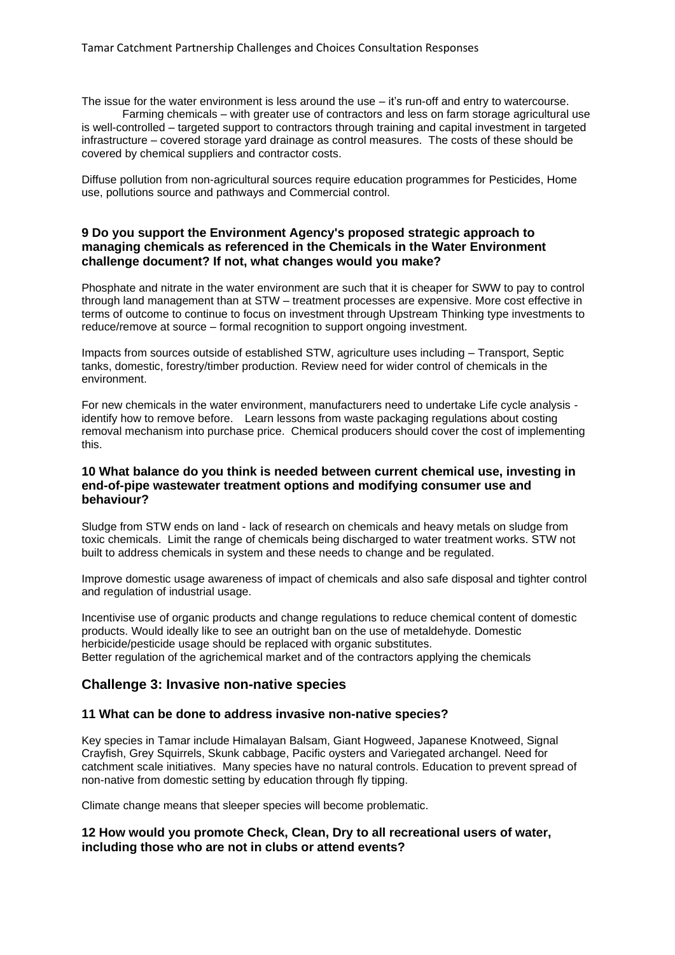The issue for the water environment is less around the use – it's run-off and entry to watercourse.

Farming chemicals – with greater use of contractors and less on farm storage agricultural use is well-controlled – targeted support to contractors through training and capital investment in targeted infrastructure – covered storage yard drainage as control measures. The costs of these should be covered by chemical suppliers and contractor costs.

Diffuse pollution from non-agricultural sources require education programmes for Pesticides, Home use, pollutions source and pathways and Commercial control.

#### **9 Do you support the Environment Agency's proposed strategic approach to managing chemicals as referenced in the Chemicals in the Water Environment challenge document? If not, what changes would you make?**

Phosphate and nitrate in the water environment are such that it is cheaper for SWW to pay to control through land management than at STW – treatment processes are expensive. More cost effective in terms of outcome to continue to focus on investment through Upstream Thinking type investments to reduce/remove at source – formal recognition to support ongoing investment.

Impacts from sources outside of established STW, agriculture uses including – Transport, Septic tanks, domestic, forestry/timber production. Review need for wider control of chemicals in the environment.

For new chemicals in the water environment, manufacturers need to undertake Life cycle analysis identify how to remove before. Learn lessons from waste packaging regulations about costing removal mechanism into purchase price. Chemical producers should cover the cost of implementing this.

#### **10 What balance do you think is needed between current chemical use, investing in end-of-pipe wastewater treatment options and modifying consumer use and behaviour?**

Sludge from STW ends on land - lack of research on chemicals and heavy metals on sludge from toxic chemicals. Limit the range of chemicals being discharged to water treatment works. STW not built to address chemicals in system and these needs to change and be regulated.

Improve domestic usage awareness of impact of chemicals and also safe disposal and tighter control and regulation of industrial usage.

Incentivise use of organic products and change regulations to reduce chemical content of domestic products. Would ideally like to see an outright ban on the use of metaldehyde. Domestic herbicide/pesticide usage should be replaced with organic substitutes. Better regulation of the agrichemical market and of the contractors applying the chemicals

# **Challenge 3: Invasive non-native species**

#### **11 What can be done to address invasive non-native species?**

Key species in Tamar include Himalayan Balsam, Giant Hogweed, Japanese Knotweed, Signal Crayfish, Grey Squirrels, Skunk cabbage, Pacific oysters and Variegated archangel. Need for catchment scale initiatives. Many species have no natural controls. Education to prevent spread of non-native from domestic setting by education through fly tipping.

Climate change means that sleeper species will become problematic.

# **12 How would you promote Check, Clean, Dry to all recreational users of water, including those who are not in clubs or attend events?**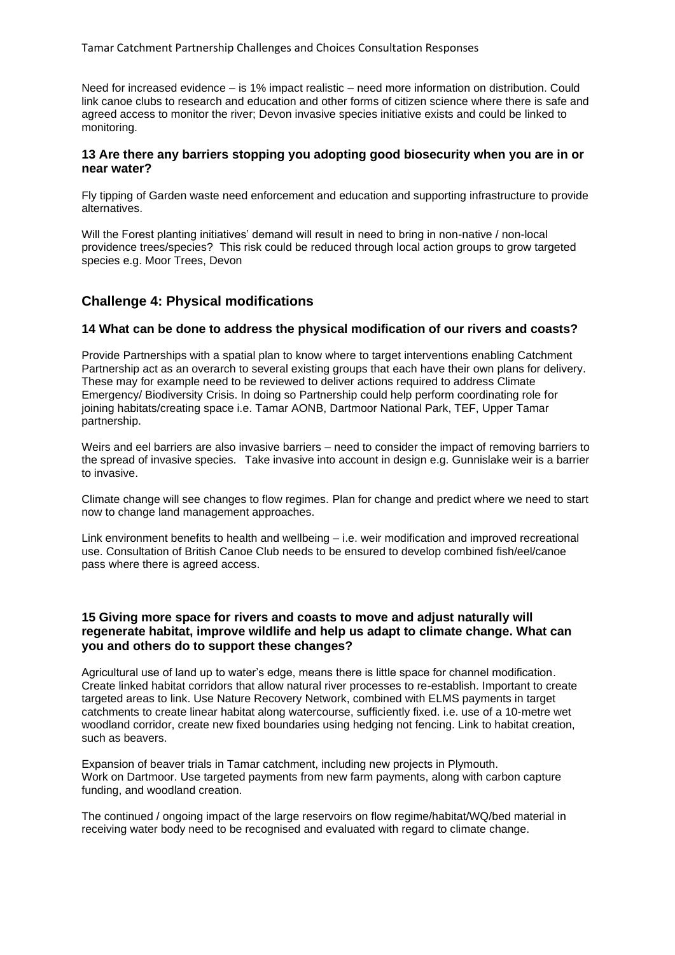Need for increased evidence – is 1% impact realistic – need more information on distribution. Could link canoe clubs to research and education and other forms of citizen science where there is safe and agreed access to monitor the river; Devon invasive species initiative exists and could be linked to monitoring.

#### **13 Are there any barriers stopping you adopting good biosecurity when you are in or near water?**

Fly tipping of Garden waste need enforcement and education and supporting infrastructure to provide alternatives.

Will the Forest planting initiatives' demand will result in need to bring in non-native / non-local providence trees/species? This risk could be reduced through local action groups to grow targeted species e.g. Moor Trees, Devon

# **Challenge 4: Physical modifications**

# **14 What can be done to address the physical modification of our rivers and coasts?**

Provide Partnerships with a spatial plan to know where to target interventions enabling Catchment Partnership act as an overarch to several existing groups that each have their own plans for delivery. These may for example need to be reviewed to deliver actions required to address Climate Emergency/ Biodiversity Crisis. In doing so Partnership could help perform coordinating role for joining habitats/creating space i.e. Tamar AONB, Dartmoor National Park, TEF, Upper Tamar partnership.

Weirs and eel barriers are also invasive barriers – need to consider the impact of removing barriers to the spread of invasive species. Take invasive into account in design e.g. Gunnislake weir is a barrier to invasive.

Climate change will see changes to flow regimes. Plan for change and predict where we need to start now to change land management approaches.

Link environment benefits to health and wellbeing – i.e. weir modification and improved recreational use. Consultation of British Canoe Club needs to be ensured to develop combined fish/eel/canoe pass where there is agreed access.

### **15 Giving more space for rivers and coasts to move and adjust naturally will regenerate habitat, improve wildlife and help us adapt to climate change. What can you and others do to support these changes?**

Agricultural use of land up to water's edge, means there is little space for channel modification. Create linked habitat corridors that allow natural river processes to re-establish. Important to create targeted areas to link. Use Nature Recovery Network, combined with ELMS payments in target catchments to create linear habitat along watercourse, sufficiently fixed. i.e. use of a 10-metre wet woodland corridor, create new fixed boundaries using hedging not fencing. Link to habitat creation, such as beavers.

Expansion of beaver trials in Tamar catchment, including new projects in Plymouth. Work on Dartmoor. Use targeted payments from new farm payments, along with carbon capture funding, and woodland creation.

The continued / ongoing impact of the large reservoirs on flow regime/habitat/WQ/bed material in receiving water body need to be recognised and evaluated with regard to climate change.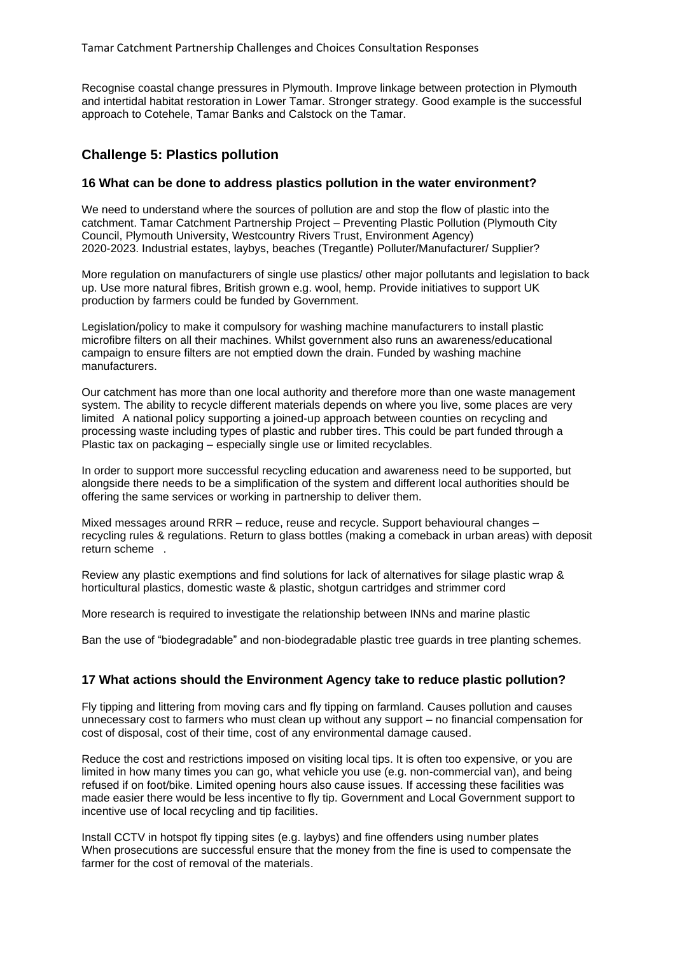Recognise coastal change pressures in Plymouth. Improve linkage between protection in Plymouth and intertidal habitat restoration in Lower Tamar. Stronger strategy. Good example is the successful approach to Cotehele, Tamar Banks and Calstock on the Tamar.

# **Challenge 5: Plastics pollution**

#### **16 What can be done to address plastics pollution in the water environment?**

We need to understand where the sources of pollution are and stop the flow of plastic into the catchment. Tamar Catchment Partnership Project – Preventing Plastic Pollution (Plymouth City Council, Plymouth University, Westcountry Rivers Trust, Environment Agency) 2020-2023. Industrial estates, laybys, beaches (Tregantle) Polluter/Manufacturer/ Supplier?

More regulation on manufacturers of single use plastics/ other major pollutants and legislation to back up. Use more natural fibres, British grown e.g. wool, hemp. Provide initiatives to support UK production by farmers could be funded by Government.

Legislation/policy to make it compulsory for washing machine manufacturers to install plastic microfibre filters on all their machines. Whilst government also runs an awareness/educational campaign to ensure filters are not emptied down the drain. Funded by washing machine manufacturers.

Our catchment has more than one local authority and therefore more than one waste management system. The ability to recycle different materials depends on where you live, some places are very limited A national policy supporting a joined-up approach between counties on recycling and processing waste including types of plastic and rubber tires. This could be part funded through a Plastic tax on packaging – especially single use or limited recyclables.

In order to support more successful recycling education and awareness need to be supported, but alongside there needs to be a simplification of the system and different local authorities should be offering the same services or working in partnership to deliver them.

Mixed messages around RRR – reduce, reuse and recycle. Support behavioural changes – recycling rules & regulations. Return to glass bottles (making a comeback in urban areas) with deposit return scheme .

Review any plastic exemptions and find solutions for lack of alternatives for silage plastic wrap & horticultural plastics, domestic waste & plastic, shotgun cartridges and strimmer cord

More research is required to investigate the relationship between INNs and marine plastic

Ban the use of "biodegradable" and non-biodegradable plastic tree guards in tree planting schemes.

#### **17 What actions should the Environment Agency take to reduce plastic pollution?**

Fly tipping and littering from moving cars and fly tipping on farmland. Causes pollution and causes unnecessary cost to farmers who must clean up without any support – no financial compensation for cost of disposal, cost of their time, cost of any environmental damage caused.

Reduce the cost and restrictions imposed on visiting local tips. It is often too expensive, or you are limited in how many times you can go, what vehicle you use (e.g. non-commercial van), and being refused if on foot/bike. Limited opening hours also cause issues. If accessing these facilities was made easier there would be less incentive to fly tip. Government and Local Government support to incentive use of local recycling and tip facilities.

Install CCTV in hotspot fly tipping sites (e.g. laybys) and fine offenders using number plates When prosecutions are successful ensure that the money from the fine is used to compensate the farmer for the cost of removal of the materials.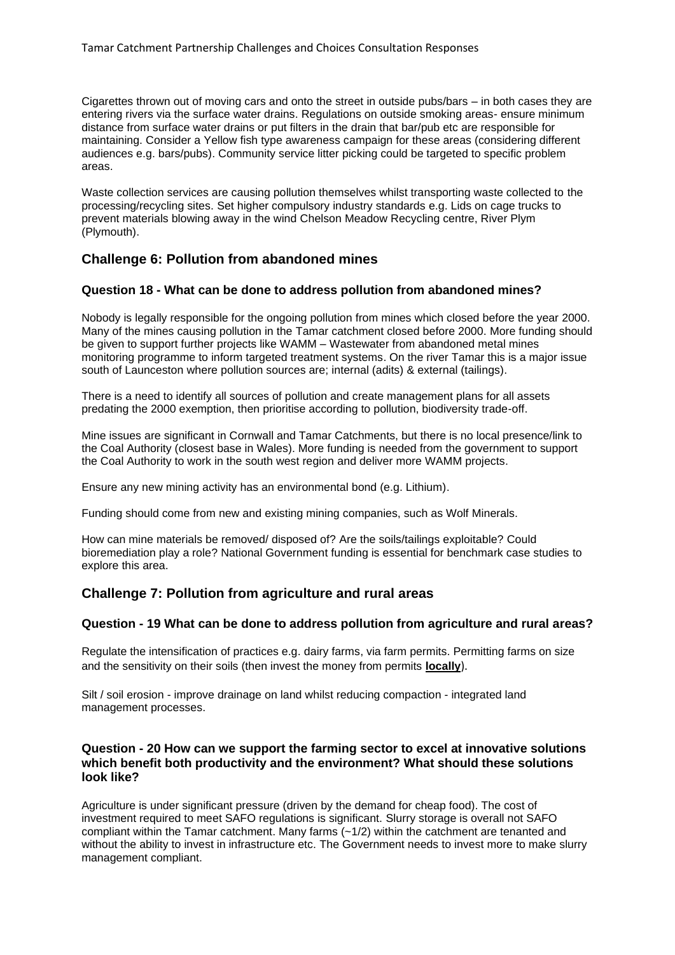Cigarettes thrown out of moving cars and onto the street in outside pubs/bars – in both cases they are entering rivers via the surface water drains. Regulations on outside smoking areas- ensure minimum distance from surface water drains or put filters in the drain that bar/pub etc are responsible for maintaining. Consider a Yellow fish type awareness campaign for these areas (considering different audiences e.g. bars/pubs). Community service litter picking could be targeted to specific problem areas.

Waste collection services are causing pollution themselves whilst transporting waste collected to the processing/recycling sites. Set higher compulsory industry standards e.g. Lids on cage trucks to prevent materials blowing away in the wind Chelson Meadow Recycling centre, River Plym (Plymouth).

# **Challenge 6: Pollution from abandoned mines**

# **Question 18 - What can be done to address pollution from abandoned mines?**

Nobody is legally responsible for the ongoing pollution from mines which closed before the year 2000. Many of the mines causing pollution in the Tamar catchment closed before 2000. More funding should be given to support further projects like WAMM – Wastewater from abandoned metal mines monitoring programme to inform targeted treatment systems. On the river Tamar this is a major issue south of Launceston where pollution sources are; internal (adits) & external (tailings).

There is a need to identify all sources of pollution and create management plans for all assets predating the 2000 exemption, then prioritise according to pollution, biodiversity trade-off.

Mine issues are significant in Cornwall and Tamar Catchments, but there is no local presence/link to the Coal Authority (closest base in Wales). More funding is needed from the government to support the Coal Authority to work in the south west region and deliver more WAMM projects.

Ensure any new mining activity has an environmental bond (e.g. Lithium).

Funding should come from new and existing mining companies, such as Wolf Minerals.

How can mine materials be removed/ disposed of? Are the soils/tailings exploitable? Could bioremediation play a role? National Government funding is essential for benchmark case studies to explore this area.

# **Challenge 7: Pollution from agriculture and rural areas**

#### **Question - 19 What can be done to address pollution from agriculture and rural areas?**

Regulate the intensification of practices e.g. dairy farms, via farm permits. Permitting farms on size and the sensitivity on their soils (then invest the money from permits **locally**).

Silt / soil erosion - improve drainage on land whilst reducing compaction - integrated land management processes.

### **Question - 20 How can we support the farming sector to excel at innovative solutions which benefit both productivity and the environment? What should these solutions look like?**

Agriculture is under significant pressure (driven by the demand for cheap food). The cost of investment required to meet SAFO regulations is significant. Slurry storage is overall not SAFO compliant within the Tamar catchment. Many farms (~1/2) within the catchment are tenanted and without the ability to invest in infrastructure etc. The Government needs to invest more to make slurry management compliant.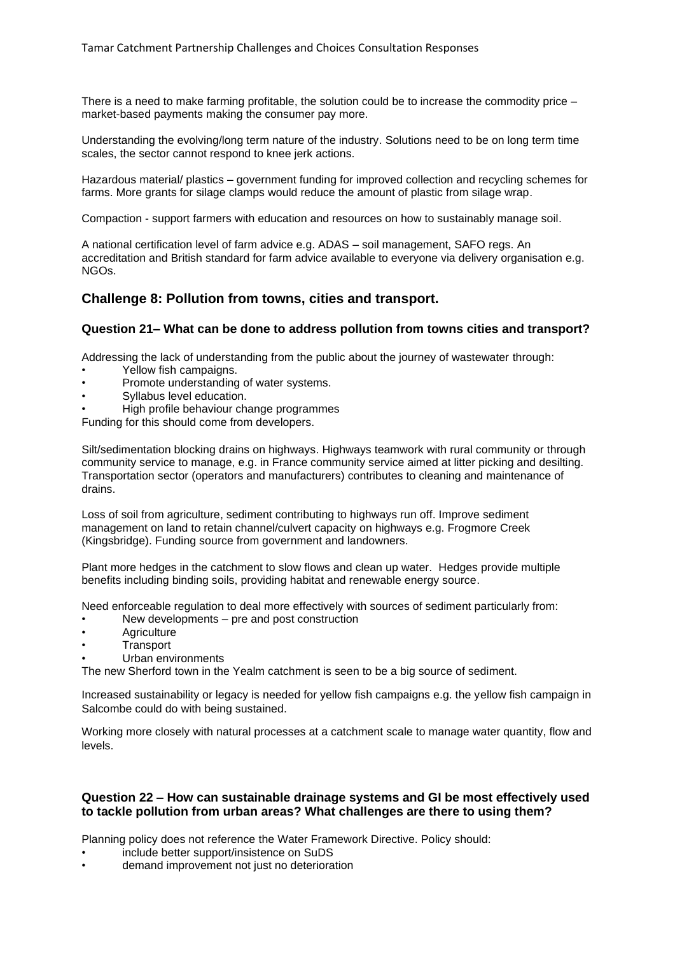There is a need to make farming profitable, the solution could be to increase the commodity price – market-based payments making the consumer pay more.

Understanding the evolving/long term nature of the industry. Solutions need to be on long term time scales, the sector cannot respond to knee jerk actions.

Hazardous material/ plastics – government funding for improved collection and recycling schemes for farms. More grants for silage clamps would reduce the amount of plastic from silage wrap.

Compaction - support farmers with education and resources on how to sustainably manage soil.

A national certification level of farm advice e.g. ADAS – soil management, SAFO regs. An accreditation and British standard for farm advice available to everyone via delivery organisation e.g. NGOs.

# **Challenge 8: Pollution from towns, cities and transport.**

#### **Question 21– What can be done to address pollution from towns cities and transport?**

Addressing the lack of understanding from the public about the journey of wastewater through:

- Yellow fish campaigns.
- Promote understanding of water systems.
- Syllabus level education.
- High profile behaviour change programmes

Funding for this should come from developers.

Silt/sedimentation blocking drains on highways. Highways teamwork with rural community or through community service to manage, e.g. in France community service aimed at litter picking and desilting. Transportation sector (operators and manufacturers) contributes to cleaning and maintenance of drains.

Loss of soil from agriculture, sediment contributing to highways run off. Improve sediment management on land to retain channel/culvert capacity on highways e.g. Frogmore Creek (Kingsbridge). Funding source from government and landowners.

Plant more hedges in the catchment to slow flows and clean up water. Hedges provide multiple benefits including binding soils, providing habitat and renewable energy source.

Need enforceable regulation to deal more effectively with sources of sediment particularly from:

- New developments pre and post construction
- **Agriculture**
- **Transport**
- Urban environments

The new Sherford town in the Yealm catchment is seen to be a big source of sediment.

Increased sustainability or legacy is needed for yellow fish campaigns e.g. the yellow fish campaign in Salcombe could do with being sustained.

Working more closely with natural processes at a catchment scale to manage water quantity, flow and levels.

#### **Question 22 – How can sustainable drainage systems and GI be most effectively used to tackle pollution from urban areas? What challenges are there to using them?**

Planning policy does not reference the Water Framework Directive. Policy should:

- include better support/insistence on SuDS
- demand improvement not just no deterioration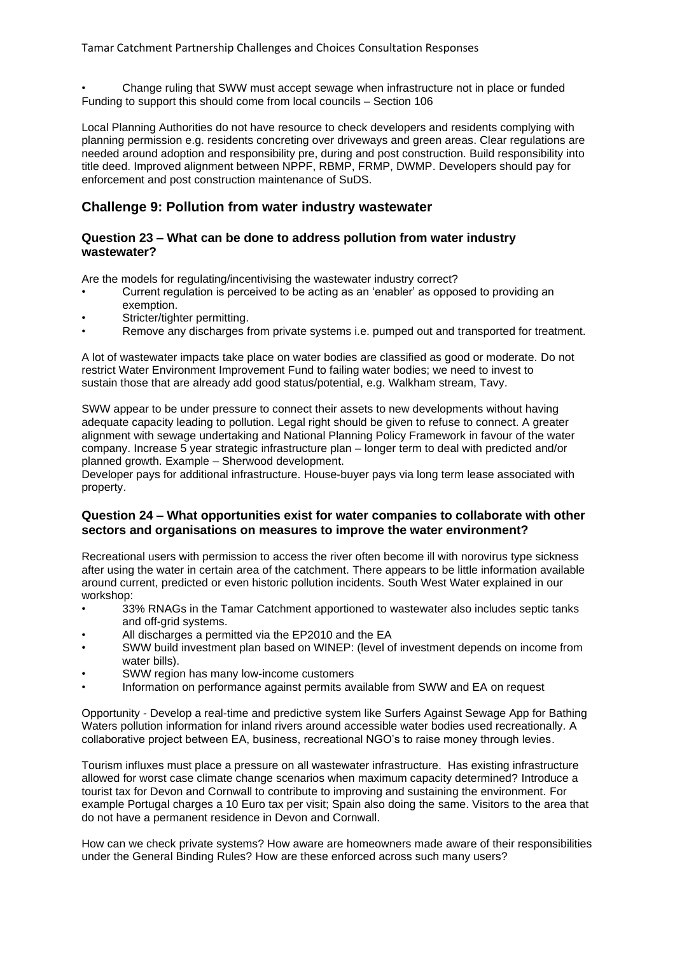• Change ruling that SWW must accept sewage when infrastructure not in place or funded Funding to support this should come from local councils – Section 106

Local Planning Authorities do not have resource to check developers and residents complying with planning permission e.g. residents concreting over driveways and green areas. Clear regulations are needed around adoption and responsibility pre, during and post construction. Build responsibility into title deed. Improved alignment between NPPF, RBMP, FRMP, DWMP. Developers should pay for enforcement and post construction maintenance of SuDS.

# **Challenge 9: Pollution from water industry wastewater**

#### **Question 23 – What can be done to address pollution from water industry wastewater?**

Are the models for regulating/incentivising the wastewater industry correct?

- Current regulation is perceived to be acting as an 'enabler' as opposed to providing an exemption.
- Stricter/tighter permitting.
- Remove any discharges from private systems i.e. pumped out and transported for treatment.

A lot of wastewater impacts take place on water bodies are classified as good or moderate. Do not restrict Water Environment Improvement Fund to failing water bodies; we need to invest to sustain those that are already add good status/potential, e.g. Walkham stream, Tavy.

SWW appear to be under pressure to connect their assets to new developments without having adequate capacity leading to pollution. Legal right should be given to refuse to connect. A greater alignment with sewage undertaking and National Planning Policy Framework in favour of the water company. Increase 5 year strategic infrastructure plan – longer term to deal with predicted and/or planned growth. Example – Sherwood development.

Developer pays for additional infrastructure. House-buyer pays via long term lease associated with property.

# **Question 24 – What opportunities exist for water companies to collaborate with other sectors and organisations on measures to improve the water environment?**

Recreational users with permission to access the river often become ill with norovirus type sickness after using the water in certain area of the catchment. There appears to be little information available around current, predicted or even historic pollution incidents. South West Water explained in our workshop:

- 33% RNAGs in the Tamar Catchment apportioned to wastewater also includes septic tanks and off-grid systems.
- All discharges a permitted via the EP2010 and the EA
- SWW build investment plan based on WINEP: (level of investment depends on income from water bills).
- SWW region has many low-income customers
- Information on performance against permits available from SWW and EA on request

Opportunity - Develop a real-time and predictive system like Surfers Against Sewage App for Bathing Waters pollution information for inland rivers around accessible water bodies used recreationally. A collaborative project between EA, business, recreational NGO's to raise money through levies.

Tourism influxes must place a pressure on all wastewater infrastructure. Has existing infrastructure allowed for worst case climate change scenarios when maximum capacity determined? Introduce a tourist tax for Devon and Cornwall to contribute to improving and sustaining the environment. For example Portugal charges a 10 Euro tax per visit; Spain also doing the same. Visitors to the area that do not have a permanent residence in Devon and Cornwall.

How can we check private systems? How aware are homeowners made aware of their responsibilities under the General Binding Rules? How are these enforced across such many users?